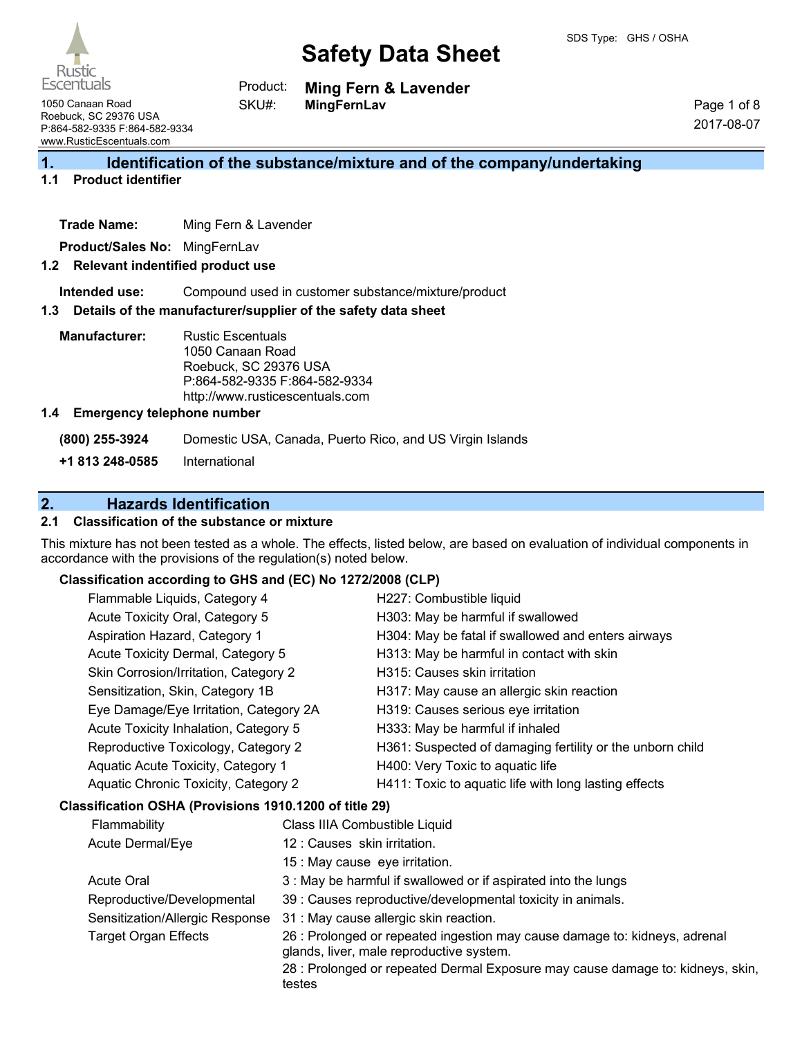

**Escentuals** 1050 Canaan Road Roebuck, SC 29376 USA

Rustio

**Ming Fern & Lavender** Product:

**MingFernLav** SKU#:

Page 1 of 8 2017-08-07

# **1. Identification of the substance/mixture and of the company/undertaking**

# **1.1 Product identifier**

**Trade Name:** Ming Fern & Lavender

**Product/Sales No:** MingFernLav

#### **1.2 Relevant indentified product use**

**Intended use:** Compound used in customer substance/mixture/product

#### **1.3 Details of the manufacturer/supplier of the safety data sheet**

**Manufacturer:** Rustic Escentuals 1050 Canaan Road Roebuck, SC 29376 USA P:864-582-9335 F:864-582-9334 http://www.rusticescentuals.com

#### **1.4 Emergency telephone number**

**(800) 255-3924** Domestic USA, Canada, Puerto Rico, and US Virgin Islands

**+1 813 248-0585** International

# **2. Hazards Identification**

### **2.1 Classification of the substance or mixture**

This mixture has not been tested as a whole. The effects, listed below, are based on evaluation of individual components in accordance with the provisions of the regulation(s) noted below.

#### **Classification according to GHS and (EC) No 1272/2008 (CLP)**

|                                                        | Flammable Liquids, Category 4                                             |  | H227: Combustible liquid                                       |
|--------------------------------------------------------|---------------------------------------------------------------------------|--|----------------------------------------------------------------|
|                                                        | Acute Toxicity Oral, Category 5                                           |  | H303: May be harmful if swallowed                              |
|                                                        | Aspiration Hazard, Category 1                                             |  | H304: May be fatal if swallowed and enters airways             |
|                                                        | Acute Toxicity Dermal, Category 5                                         |  | H313: May be harmful in contact with skin                      |
|                                                        | Skin Corrosion/Irritation, Category 2                                     |  | H315: Causes skin irritation                                   |
|                                                        | Sensitization, Skin, Category 1B                                          |  | H317: May cause an allergic skin reaction                      |
|                                                        | Eye Damage/Eye Irritation, Category 2A                                    |  | H319: Causes serious eye irritation                            |
|                                                        | Acute Toxicity Inhalation, Category 5                                     |  | H333: May be harmful if inhaled                                |
|                                                        | Reproductive Toxicology, Category 2<br>Aquatic Acute Toxicity, Category 1 |  | H361: Suspected of damaging fertility or the unborn child      |
|                                                        |                                                                           |  | H400: Very Toxic to aquatic life                               |
|                                                        | Aquatic Chronic Toxicity, Category 2                                      |  | H411: Toxic to aquatic life with long lasting effects          |
| Classification OSHA (Provisions 1910.1200 of title 29) |                                                                           |  |                                                                |
|                                                        | Flammability<br>Class IIIA Combustible Liquid                             |  |                                                                |
|                                                        | 12 : Causes skin irritation.<br>Acute Dermal/Eye                          |  |                                                                |
|                                                        | 15 : May cause eye irritation.                                            |  |                                                                |
|                                                        | <b>Acute Oral</b>                                                         |  | 3 : May be harmful if swallowed or if aspirated into the lungs |
|                                                        | Reproductive/Developmental                                                |  | 39 : Causes reproductive/developmental toxicity in animals.    |

- Sensitization/Allergic Response 31 : May cause allergic skin reaction.
- 
- Target Organ Effects 26 : Prolonged or repeated ingestion may cause damage to: kidneys, adrenal glands, liver, male reproductive system.

28 : Prolonged or repeated Dermal Exposure may cause damage to: kidneys, skin, testes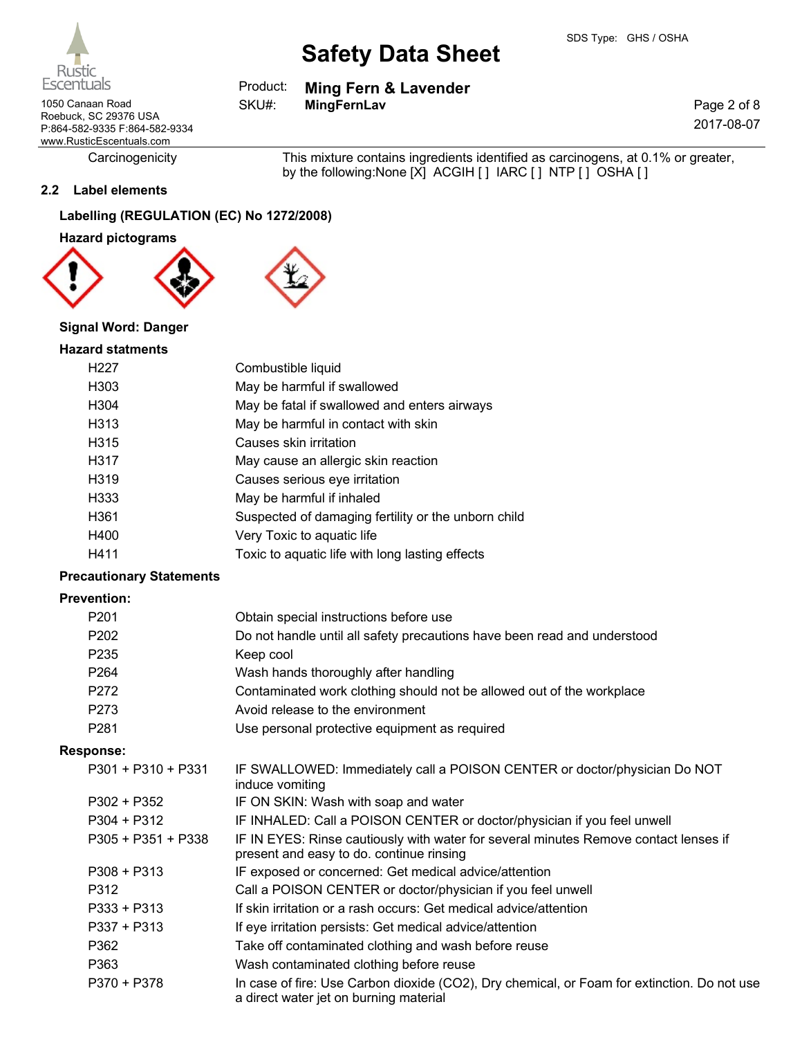|  |  | duct: Ming Fern & Lavender |  |
|--|--|----------------------------|--|

SKU#:

1050 Canaan Road **MingFernLav** Roebuck, SC 29376 USA P:864-582-9335 F:864-582-9334 www.RusticEscentuals.com

Carcinogenicity This mixture contains ingredients identified as carcinogens, at 0.1% or greater, by the following:None [X] ACGIH [] IARC [] NTP [] OSHA []

# **2.2 Label elements**

# **Labelling (REGULATION (EC) No 1272/2008)**

**Hazard pictograms**



# **Signal Word: Danger**

#### **Hazard statments**

| H <sub>227</sub>  | Combustible liquid                                  |
|-------------------|-----------------------------------------------------|
| H <sub>303</sub>  | May be harmful if swallowed                         |
| H <sub>304</sub>  | May be fatal if swallowed and enters airways        |
| H <sub>3</sub> 13 | May be harmful in contact with skin                 |
| H <sub>3</sub> 15 | Causes skin irritation                              |
| H317              | May cause an allergic skin reaction                 |
| H319              | Causes serious eye irritation                       |
| H333              | May be harmful if inhaled                           |
| H361              | Suspected of damaging fertility or the unborn child |
| H400              | Very Toxic to aquatic life                          |
| H411              | Toxic to aquatic life with long lasting effects     |

# **Precautionary Statements**

#### **Prevention:**

| P <sub>201</sub>     | Obtain special instructions before use                                                                                                |
|----------------------|---------------------------------------------------------------------------------------------------------------------------------------|
| P202                 | Do not handle until all safety precautions have been read and understood                                                              |
| P235                 | Keep cool                                                                                                                             |
| P264                 | Wash hands thoroughly after handling                                                                                                  |
| P272                 | Contaminated work clothing should not be allowed out of the workplace                                                                 |
| P273                 | Avoid release to the environment                                                                                                      |
| P281                 | Use personal protective equipment as required                                                                                         |
| <b>Response:</b>     |                                                                                                                                       |
| $P301 + P310 + P331$ | IF SWALLOWED: Immediately call a POISON CENTER or doctor/physician Do NOT<br>induce vomiting                                          |
| $P302 + P352$        | IF ON SKIN: Wash with soap and water                                                                                                  |
| $P304 + P312$        | IF INHALED: Call a POISON CENTER or doctor/physician if you feel unwell                                                               |
| P305 + P351 + P338   | IF IN EYES: Rinse cautiously with water for several minutes Remove contact lenses if<br>present and easy to do. continue rinsing      |
| $P308 + P313$        | IF exposed or concerned: Get medical advice/attention                                                                                 |
| P312                 | Call a POISON CENTER or doctor/physician if you feel unwell                                                                           |
| $P333 + P313$        | If skin irritation or a rash occurs: Get medical advice/attention                                                                     |
| $P337 + P313$        | If eye irritation persists: Get medical advice/attention                                                                              |
| P362                 | Take off contaminated clothing and wash before reuse                                                                                  |
| P363                 | Wash contaminated clothing before reuse                                                                                               |
| P370 + P378          | In case of fire: Use Carbon dioxide (CO2), Dry chemical, or Foam for extinction. Do not use<br>a direct water jet on burning material |



**Ming Fern & Lavender** Pro

Page 2 of 8 2017-08-07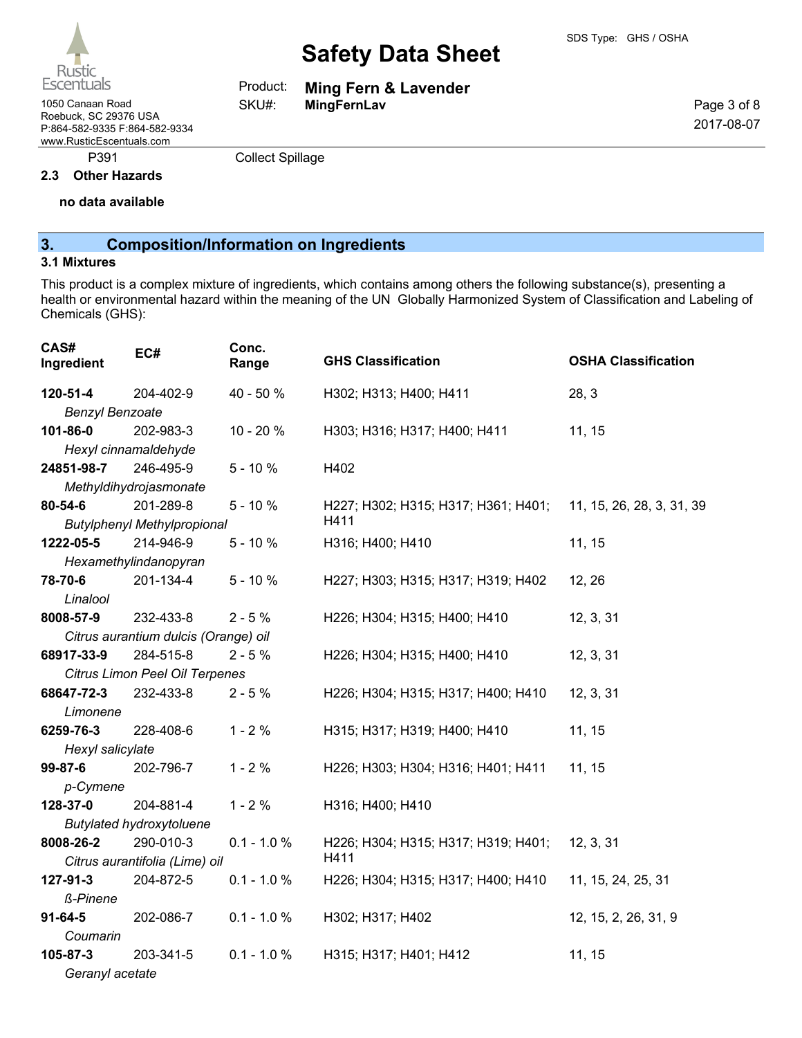

1050 Canaan Road **MingFernLav** Roebuck, SC 29376 USA

P:864-582-9335 F:864-582-9334 www.RusticEscentuals.com

P391 Collect Spillage

Product: SKU#:

#### **2.3 Other Hazards**

**no data available**

# **3. Composition/Information on Ingredients**

#### **3.1 Mixtures**

This product is a complex mixture of ingredients, which contains among others the following substance(s), presenting a health or environmental hazard within the meaning of the UN Globally Harmonized System of Classification and Labeling of Chemicals (GHS):

**Ming Fern & Lavender**

| CAS#<br>Ingredient     | EC#                                  | Conc.<br>Range | <b>GHS Classification</b>           | <b>OSHA Classification</b> |
|------------------------|--------------------------------------|----------------|-------------------------------------|----------------------------|
| 120-51-4               | 204-402-9                            | 40 - 50 %      | H302; H313; H400; H411              | 28, 3                      |
| <b>Benzyl Benzoate</b> |                                      |                |                                     |                            |
| 101-86-0               | 202-983-3                            | 10 - 20 %      | H303; H316; H317; H400; H411        | 11, 15                     |
|                        | Hexyl cinnamaldehyde                 |                |                                     |                            |
| 24851-98-7             | 246-495-9                            | $5 - 10%$      | H402                                |                            |
|                        | Methyldihydrojasmonate               |                |                                     |                            |
| 80-54-6                | 201-289-8                            | $5 - 10%$      | H227; H302; H315; H317; H361; H401; | 11, 15, 26, 28, 3, 31, 39  |
|                        | <b>Butylphenyl Methylpropional</b>   |                | H411                                |                            |
| 1222-05-5              | 214-946-9                            | $5 - 10%$      | H316; H400; H410                    | 11, 15                     |
|                        | Hexamethylindanopyran                |                |                                     |                            |
| 78-70-6                | 201-134-4                            | $5 - 10%$      | H227; H303; H315; H317; H319; H402  | 12, 26                     |
| Linalool               |                                      |                |                                     |                            |
| 8008-57-9              | 232-433-8                            | $2 - 5%$       | H226; H304; H315; H400; H410        | 12, 3, 31                  |
|                        | Citrus aurantium dulcis (Orange) oil |                |                                     |                            |
| 68917-33-9             | 284-515-8                            | $2 - 5%$       | H226; H304; H315; H400; H410        | 12, 3, 31                  |
|                        | Citrus Limon Peel Oil Terpenes       |                |                                     |                            |
| 68647-72-3             | 232-433-8                            | $2 - 5%$       | H226; H304; H315; H317; H400; H410  | 12, 3, 31                  |
| Limonene               |                                      |                |                                     |                            |
| 6259-76-3              | 228-408-6                            | $1 - 2%$       | H315; H317; H319; H400; H410        | 11, 15                     |
| Hexyl salicylate       |                                      |                |                                     |                            |
| 99-87-6                | 202-796-7                            | $1 - 2%$       | H226; H303; H304; H316; H401; H411  | 11, 15                     |
| p-Cymene               |                                      |                |                                     |                            |
| 128-37-0               | 204-881-4                            | $1 - 2%$       | H316; H400; H410                    |                            |
|                        | <b>Butylated hydroxytoluene</b>      |                |                                     |                            |
| 8008-26-2              | 290-010-3                            | $0.1 - 1.0 %$  | H226; H304; H315; H317; H319; H401; | 12, 3, 31                  |
|                        | Citrus aurantifolia (Lime) oil       |                | H411                                |                            |
| 127-91-3               | 204-872-5                            | $0.1 - 1.0 %$  | H226; H304; H315; H317; H400; H410  | 11, 15, 24, 25, 31         |
| ß-Pinene               |                                      |                |                                     |                            |
| $91 - 64 - 5$          | 202-086-7                            | $0.1 - 1.0 %$  | H302; H317; H402                    | 12, 15, 2, 26, 31, 9       |
| Coumarin               |                                      |                |                                     |                            |
| 105-87-3               | 203-341-5                            | $0.1 - 1.0 %$  | H315; H317; H401; H412              | 11, 15                     |
| Geranyl acetate        |                                      |                |                                     |                            |

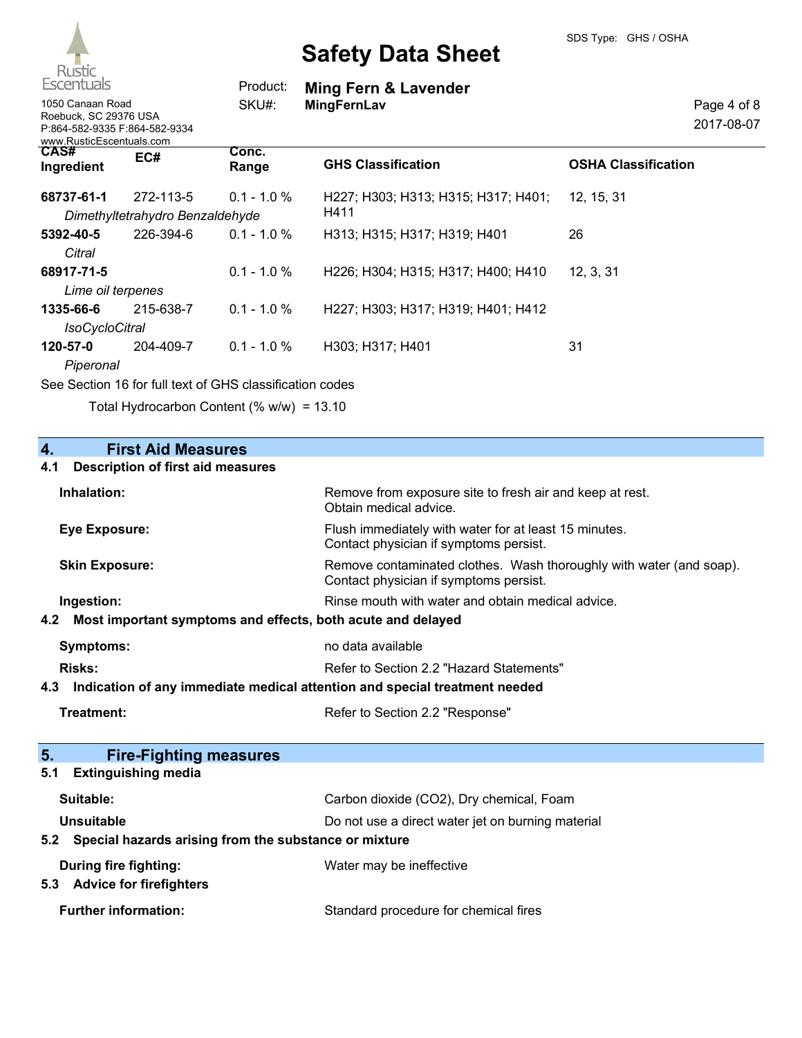

| <b>Escentuals</b>                                                                                      |                                              | Product:                                                                                                                                             | <b>Ming Fern &amp; Lavender</b>             |                            |
|--------------------------------------------------------------------------------------------------------|----------------------------------------------|------------------------------------------------------------------------------------------------------------------------------------------------------|---------------------------------------------|----------------------------|
| 1050 Canaan Road<br>Roebuck, SC 29376 USA<br>P:864-582-9335 F:864-582-9334<br>www.RusticEscentuals.com |                                              | SKU#:                                                                                                                                                | <b>MingFernLav</b>                          | Page 4 of 8<br>2017-08-07  |
| CAS#<br>Ingredient                                                                                     | EC#                                          | Conc.<br>Range                                                                                                                                       | <b>GHS Classification</b>                   | <b>OSHA Classification</b> |
| 68737-61-1                                                                                             | 272-113-5<br>Dimethyltetrahydro Benzaldehyde | $0.1 - 1.0 \%$                                                                                                                                       | H227; H303; H313; H315; H317; H401;<br>H411 | 12, 15, 31                 |
| 5392-40-5<br>Citral                                                                                    | 226-394-6                                    | $0.1 - 1.0 \%$                                                                                                                                       | H313; H315; H317; H319; H401                | 26                         |
| 68917-71-5<br>Lime oil terpenes                                                                        |                                              | $0.1 - 1.0 %$                                                                                                                                        | H226; H304; H315; H317; H400; H410          | 12, 3, 31                  |
| 1335-66-6<br><b>IsoCycloCitral</b>                                                                     | 215-638-7                                    | $0.1 - 1.0 %$                                                                                                                                        | H227; H303; H317; H319; H401; H412          |                            |
| 120-57-0<br>Piperonal                                                                                  | 204-409-7                                    | $0.1 - 1.0 %$<br>$\Omega$ . $\Omega$ . Here $\Lambda \Omega$ for full to $\Lambda$ of $\Omega$ is $\Omega$ . Here if $\Omega$ is the set of $\Omega$ | H303; H317; H401                            | 31                         |

See Section 16 for full text of GHS classification codes

Total Hydrocarbon Content (% w/w) = 13.10

| 4.<br><b>First Aid Measures</b>                                                   |                                                                                                               |  |
|-----------------------------------------------------------------------------------|---------------------------------------------------------------------------------------------------------------|--|
| <b>Description of first aid measures</b><br>4.1                                   |                                                                                                               |  |
| Inhalation:                                                                       | Remove from exposure site to fresh air and keep at rest.<br>Obtain medical advice.                            |  |
| <b>Eye Exposure:</b>                                                              | Flush immediately with water for at least 15 minutes.<br>Contact physician if symptoms persist.               |  |
| <b>Skin Exposure:</b>                                                             | Remove contaminated clothes. Wash thoroughly with water (and soap).<br>Contact physician if symptoms persist. |  |
| Ingestion:                                                                        | Rinse mouth with water and obtain medical advice.                                                             |  |
| Most important symptoms and effects, both acute and delayed<br>4.2                |                                                                                                               |  |
| <b>Symptoms:</b>                                                                  | no data available                                                                                             |  |
| <b>Risks:</b>                                                                     | Refer to Section 2.2 "Hazard Statements"                                                                      |  |
| Indication of any immediate medical attention and special treatment needed<br>4.3 |                                                                                                               |  |
| <b>Treatment:</b>                                                                 | Refer to Section 2.2 "Response"                                                                               |  |
|                                                                                   |                                                                                                               |  |
| 5.<br><b>Fire-Fighting measures</b>                                               |                                                                                                               |  |
| <b>Extinguishing media</b><br>5.1                                                 |                                                                                                               |  |
| Suitable:                                                                         | Carbon dioxide (CO2), Dry chemical, Foam                                                                      |  |
| Unsuitable                                                                        | Do not use a direct water jet on burning material                                                             |  |
| Special hazards arising from the substance or mixture<br>5.2                      |                                                                                                               |  |
| <b>During fire fighting:</b>                                                      | Water may be ineffective                                                                                      |  |
| <b>Advice for firefighters</b><br>5.3                                             |                                                                                                               |  |
| <b>Further information:</b>                                                       | Standard procedure for chemical fires                                                                         |  |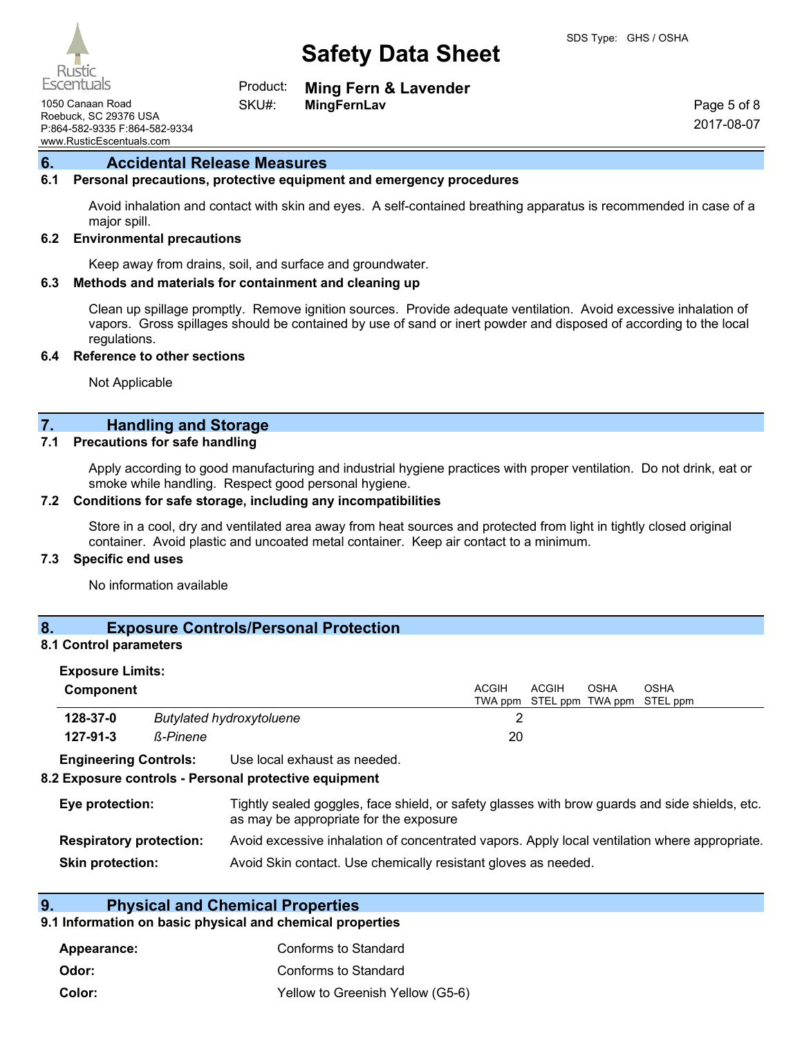

**Ming Fern & Lavender** Product:

1050 Canaan Road **MingFernLav** Roebuck, SC 29376 USA P:864-582-9335 F:864-582-9334 www.RusticEscentuals.com

Page 5 of 8 2017-08-07

# **6. Accidental Release Measures**

#### **6.1 Personal precautions, protective equipment and emergency procedures**

Avoid inhalation and contact with skin and eyes. A self-contained breathing apparatus is recommended in case of a major spill.

#### **6.2 Environmental precautions**

Keep away from drains, soil, and surface and groundwater.

SKU#:

#### **6.3 Methods and materials for containment and cleaning up**

Clean up spillage promptly. Remove ignition sources. Provide adequate ventilation. Avoid excessive inhalation of vapors. Gross spillages should be contained by use of sand or inert powder and disposed of according to the local regulations.

#### **6.4 Reference to other sections**

Not Applicable

# **7. Handling and Storage**

#### **7.1 Precautions for safe handling**

Apply according to good manufacturing and industrial hygiene practices with proper ventilation. Do not drink, eat or smoke while handling. Respect good personal hygiene.

#### **7.2 Conditions for safe storage, including any incompatibilities**

Store in a cool, dry and ventilated area away from heat sources and protected from light in tightly closed original container. Avoid plastic and uncoated metal container. Keep air contact to a minimum.

#### **7.3 Specific end uses**

No information available

# **8. Exposure Controls/Personal Protection**

### **8.1 Control parameters**

| <b>Exposure Limits:</b>        |                 |                                                                                                                                          |              |                                   |             |             |
|--------------------------------|-----------------|------------------------------------------------------------------------------------------------------------------------------------------|--------------|-----------------------------------|-------------|-------------|
| Component                      |                 |                                                                                                                                          | <b>ACGIH</b> | ACGIH                             | <b>OSHA</b> | <b>OSHA</b> |
| 128-37-0                       |                 | <b>Butylated hydroxytoluene</b>                                                                                                          | っ            | TWA ppm STEL ppm TWA ppm STEL ppm |             |             |
|                                |                 |                                                                                                                                          |              |                                   |             |             |
| 127-91-3                       | <b>ß-Pinene</b> |                                                                                                                                          | 20           |                                   |             |             |
| <b>Engineering Controls:</b>   |                 | Use local exhaust as needed.                                                                                                             |              |                                   |             |             |
|                                |                 | 8.2 Exposure controls - Personal protective equipment                                                                                    |              |                                   |             |             |
| Eye protection:                |                 | Tightly sealed goggles, face shield, or safety glasses with brow guards and side shields, etc.<br>as may be appropriate for the exposure |              |                                   |             |             |
| <b>Respiratory protection:</b> |                 | Avoid excessive inhalation of concentrated vapors. Apply local ventilation where appropriate.                                            |              |                                   |             |             |

**Skin protection:** Avoid Skin contact. Use chemically resistant gloves as needed.

# **9. Physical and Chemical Properties**

# **9.1 Information on basic physical and chemical properties**

| Appearance: | Conforms to Standard             |
|-------------|----------------------------------|
| Odor:       | Conforms to Standard             |
| Color:      | Yellow to Greenish Yellow (G5-6) |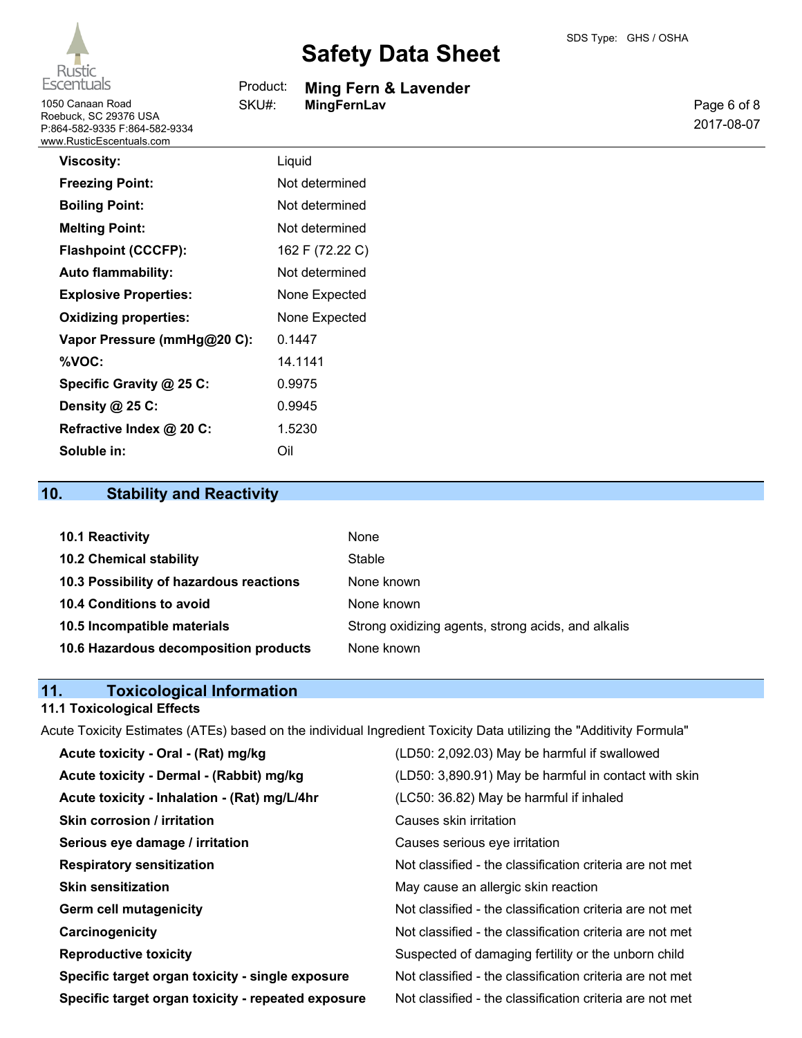

1050 Canaan Road **SKU#:** MingFernLav Roebuck, SC 29376 USA P:864-582-9335 F:864-582-9334 www.RusticEscentuals.com

# **Safety Data Sheet**

| Product: |  |  |  | Ming Fern & Lavender |  |
|----------|--|--|--|----------------------|--|
|----------|--|--|--|----------------------|--|

SKU#:

Page 6 of 8 2017-08-07

| <b>Viscosity:</b>            | Liquid          |
|------------------------------|-----------------|
| <b>Freezing Point:</b>       | Not determined  |
| <b>Boiling Point:</b>        | Not determined  |
| <b>Melting Point:</b>        | Not determined  |
| <b>Flashpoint (CCCFP):</b>   | 162 F (72.22 C) |
| <b>Auto flammability:</b>    | Not determined  |
| <b>Explosive Properties:</b> | None Expected   |
| <b>Oxidizing properties:</b> | None Expected   |
| Vapor Pressure (mmHg@20 C):  | 0.1447          |
| %VOC:                        | 14.1141         |
| Specific Gravity @ 25 C:     | 0.9975          |
| Density @ 25 C:              | 0.9945          |
| Refractive Index @ 20 C:     | 1.5230          |
| Soluble in:                  | Oil             |

# **10. Stability and Reactivity**

| <b>10.1 Reactivity</b>                  | None                                               |
|-----------------------------------------|----------------------------------------------------|
| <b>10.2 Chemical stability</b>          | Stable                                             |
| 10.3 Possibility of hazardous reactions | None known                                         |
| <b>10.4 Conditions to avoid</b>         | None known                                         |
| 10.5 Incompatible materials             | Strong oxidizing agents, strong acids, and alkalis |
| 10.6 Hazardous decomposition products   | None known                                         |

# **11. Toxicological Information**

# **11.1 Toxicological Effects**

Acute Toxicity Estimates (ATEs) based on the individual Ingredient Toxicity Data utilizing the "Additivity Formula"

| Acute toxicity - Oral - (Rat) mg/kg                | (LD50: 2,092.03) May be harmful if swallowed             |
|----------------------------------------------------|----------------------------------------------------------|
| Acute toxicity - Dermal - (Rabbit) mg/kg           | (LD50: 3,890.91) May be harmful in contact with skin     |
| Acute toxicity - Inhalation - (Rat) mg/L/4hr       | (LC50: 36.82) May be harmful if inhaled                  |
| Skin corrosion / irritation                        | Causes skin irritation                                   |
| Serious eye damage / irritation                    | Causes serious eye irritation                            |
| <b>Respiratory sensitization</b>                   | Not classified - the classification criteria are not met |
| <b>Skin sensitization</b>                          | May cause an allergic skin reaction                      |
| <b>Germ cell mutagenicity</b>                      | Not classified - the classification criteria are not met |
| Carcinogenicity                                    | Not classified - the classification criteria are not met |
| <b>Reproductive toxicity</b>                       | Suspected of damaging fertility or the unborn child      |
| Specific target organ toxicity - single exposure   | Not classified - the classification criteria are not met |
| Specific target organ toxicity - repeated exposure | Not classified - the classification criteria are not met |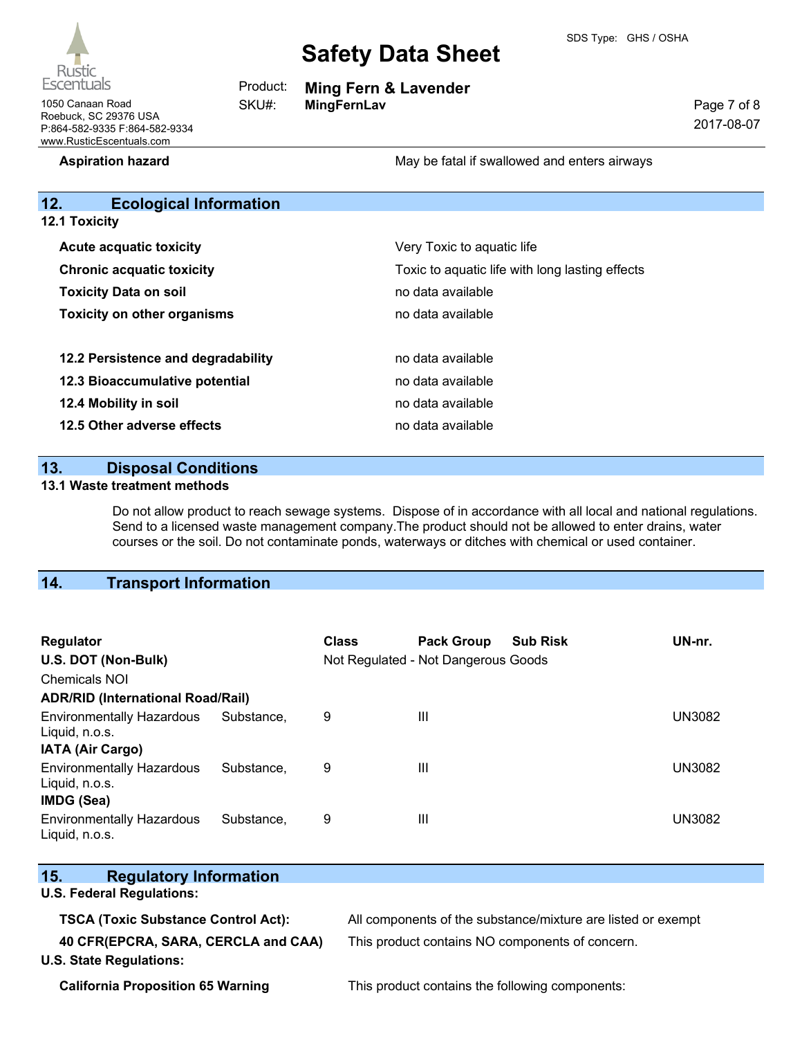

**Ming Fern & Lavender**

|  |  | Pa |
|--|--|----|
|  |  |    |
|  |  |    |

ge 7 of 8 2017-08-07

1050 Canaan Road **MingFernLav** Roebuck, SC 29376 USA P:864-582-9335 F:864-582-9334 www.RusticEscentuals.com

**Aspiration hazard** May be fatal if swallowed and enters airways

# **12. Ecological Information**

Product: SKU#:

| <b>12.1 Toxicity</b>               |                                                                                                    |  |  |
|------------------------------------|----------------------------------------------------------------------------------------------------|--|--|
| <b>Acute acquatic toxicity</b>     | Very Toxic to aquatic life<br>Toxic to aquatic life with long lasting effects<br>no data available |  |  |
| <b>Chronic acquatic toxicity</b>   |                                                                                                    |  |  |
| <b>Toxicity Data on soil</b>       |                                                                                                    |  |  |
| <b>Toxicity on other organisms</b> | no data available                                                                                  |  |  |
| 12.2 Persistence and degradability | no data available                                                                                  |  |  |
| 12.3 Bioaccumulative potential     | no data available                                                                                  |  |  |
| 12.4 Mobility in soil              | no data available                                                                                  |  |  |
| 12.5 Other adverse effects         | no data available                                                                                  |  |  |

### **13. Disposal Conditions**

#### **13.1 Waste treatment methods**

Do not allow product to reach sewage systems. Dispose of in accordance with all local and national regulations. Send to a licensed waste management company.The product should not be allowed to enter drains, water courses or the soil. Do not contaminate ponds, waterways or ditches with chemical or used container.

# **14. Transport Information**

| Regulator<br>U.S. DOT (Non-Bulk)<br><b>Chemicals NOI</b>         |            | <b>Class</b> | <b>Pack Group</b><br>Not Regulated - Not Dangerous Goods | <b>Sub Risk</b> | UN-nr.        |
|------------------------------------------------------------------|------------|--------------|----------------------------------------------------------|-----------------|---------------|
| <b>ADR/RID (International Road/Rail)</b>                         |            |              |                                                          |                 |               |
| <b>Environmentally Hazardous</b><br>Liquid, n.o.s.               | Substance. | 9            | Ш                                                        |                 | <b>UN3082</b> |
| IATA (Air Cargo)                                                 |            |              |                                                          |                 |               |
| <b>Environmentally Hazardous</b><br>Liquid, n.o.s.<br>IMDG (Sea) | Substance. | 9            | $\mathbf{III}$                                           |                 | <b>UN3082</b> |
| <b>Environmentally Hazardous</b><br>Liquid, n.o.s.               | Substance. | 9            | Ш                                                        |                 | <b>UN3082</b> |

| 15.<br><b>Regulatory Information</b>       |                                                              |
|--------------------------------------------|--------------------------------------------------------------|
| <b>U.S. Federal Regulations:</b>           |                                                              |
| <b>TSCA (Toxic Substance Control Act):</b> | All components of the substance/mixture are listed or exempt |
| 40 CFR(EPCRA, SARA, CERCLA and CAA)        | This product contains NO components of concern.              |
| <b>U.S. State Regulations:</b>             |                                                              |

**California Proposition 65 Warning** This product contains the following components: